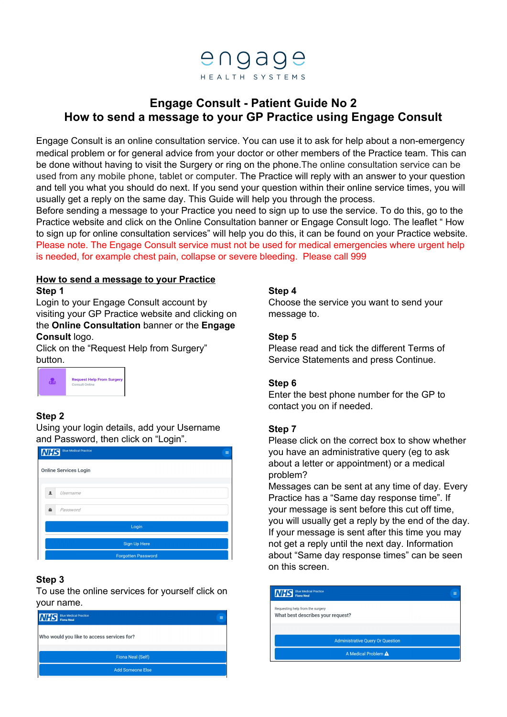

# **Engage Consult - Patient Guide No 2 How to send a message to your GP Practice using Engage Consult**

Engage Consult is an online consultation service. You can use it to ask for help about a non-emergency medical problem or for general advice from your doctor or other members of the Practice team. This can be done without having to visit the Surgery or ring on the phone.The online consultation service can be used from any mobile phone, tablet or computer. The Practice will reply with an answer to your question and tell you what you should do next. If you send your question within their online service times, you will usually get a reply on the same day. This Guide will help you through the process.

Before sending a message to your Practice you need to sign up to use the service. To do this, go to the Practice website and click on the Online Consultation banner or Engage Consult logo. The leaflet " How to sign up for online consultation services" will help you do this, it can be found on your Practice website. Please note. The Engage Consult service must not be used for medical emergencies where urgent help is needed, for example chest pain, collapse or severe bleeding. Please call 999

# **How to send a message to your Practice**

**Step 1**

Login to your Engage Consult account by visiting your GP Practice website and clicking on the **Online Consultation** banner or the **Engage Consult** logo.

Click on the "Request Help from Surgery" button.



# **Step 2**

Using your login details, add your Username and Password, then click on "Login".

| <b>Blue Medical Practice</b><br><b>NHS</b><br>$\equiv$ |
|--------------------------------------------------------|
| <b>Online Services Login</b>                           |
|                                                        |
| $\blacksquare$<br>Username                             |
| Password<br>A                                          |
| Login                                                  |
| <b>Sign Up Here</b>                                    |
| <b>Forgotten Password</b>                              |

# **Step 3**

To use the online services for yourself click on your name.

| <b>Blue Medical Practice</b><br><b>NHS</b> Blue Medica |  |
|--------------------------------------------------------|--|
| Who would you like to access services for?             |  |
| <b>Fiona Neal (Self)</b>                               |  |
| <b>Add Someone Else</b>                                |  |

# **Step 4**

Choose the service you want to send your message to.

# **Step 5**

Please read and tick the different Terms of Service Statements and press Continue.

# **Step 6**

Enter the best phone number for the GP to contact you on if needed.

## **Step 7**

Please click on the correct box to show whether you have an administrative query (eg to ask about a letter or appointment) or a medical problem?

Messages can be sent at any time of day. Every Practice has a "Same day response time". If your message is sent before this cut off time, you will usually get a reply by the end of the day. If your message is sent after this time you may not get a reply until the next day. Information about "Same day response times" can be seen on this screen.